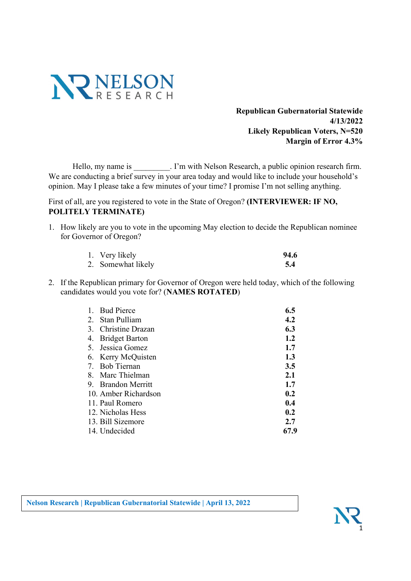

Republican Gubernatorial Statewide 4/13/2022 Likely Republican Voters, N=520 Margin of Error 4.3%

Hello, my name is \_\_\_\_\_\_\_\_\_. I'm with Nelson Research, a public opinion research firm. We are conducting a brief survey in your area today and would like to include your household's opinion. May I please take a few minutes of your time? I promise I'm not selling anything.

First of all, are you registered to vote in the State of Oregon? (INTERVIEWER: IF NO, POLITELY TERMINATE)

1. How likely are you to vote in the upcoming May election to decide the Republican nominee for Governor of Oregon?

| 1. Very likely     | 94.6 |
|--------------------|------|
| 2. Somewhat likely |      |

2. If the Republican primary for Governor of Oregon were held today, which of the following candidates would you vote for? (NAMES ROTATED)

| 1. Bud Pierce        | 6.5  |
|----------------------|------|
| 2. Stan Pulliam      | 4.2  |
| 3. Christine Drazan  | 6.3  |
| 4. Bridget Barton    | 1.2  |
| 5. Jessica Gomez     | 1.7  |
| 6. Kerry McQuisten   | 1.3  |
| 7. Bob Tiernan       | 3.5  |
| 8. Marc Thielman     | 2.1  |
| 9. Brandon Merritt   | 1.7  |
| 10. Amber Richardson | 0.2  |
| 11. Paul Romero      | 0.4  |
| 12. Nicholas Hess    | 0.2  |
| 13. Bill Sizemore    | 2.7  |
| 14. Undecided        | 67.9 |

Nelson Research | Republican Gubernatorial Statewide | April 13, 2022

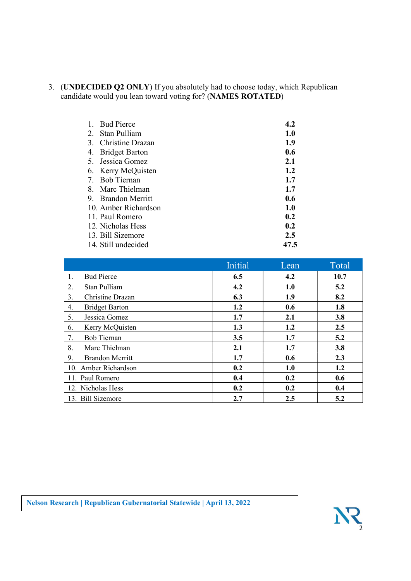3. (UNDECIDED Q2 ONLY) If you absolutely had to choose today, which Republican candidate would you lean toward voting for? (NAMES ROTATED)

| 1. Bud Pierce        | 4.2  |
|----------------------|------|
| 2. Stan Pulliam      | 1.0  |
| 3. Christine Drazan  | 1.9  |
| 4. Bridget Barton    | 0.6  |
| 5. Jessica Gomez     | 2.1  |
| 6. Kerry McQuisten   | 1.2  |
| 7. Bob Tiernan       | 1.7  |
| 8. Marc Thielman     | 1.7  |
| 9. Brandon Merritt   | 0.6  |
| 10. Amber Richardson | 1.0  |
| 11. Paul Romero      | 0.2  |
| 12. Nicholas Hess    | 0.2  |
| 13. Bill Sizemore    | 2.5  |
| 14. Still undecided  | 47.5 |

|                              | <b>Initial</b> | Lean | Total |
|------------------------------|----------------|------|-------|
| <b>Bud Pierce</b><br>1.      | 6.5            | 4.2  | 10.7  |
| 2.<br>Stan Pulliam           | 4.2            | 1.0  | 5.2   |
| 3.<br>Christine Drazan       | 6.3            | 1.9  | 8.2   |
| <b>Bridget Barton</b><br>4.  | 1.2            | 0.6  | 1.8   |
| 5.<br>Jessica Gomez          | 1.7            | 2.1  | 3.8   |
| Kerry McQuisten<br>6.        | 1.3            | 1.2  | 2.5   |
| 7.<br><b>Bob Tiernan</b>     | 3.5            | 1.7  | 5.2   |
| 8.<br>Marc Thielman          | 2.1            | 1.7  | 3.8   |
| 9.<br><b>Brandon Merritt</b> | 1.7            | 0.6  | 2.3   |
| 10. Amber Richardson         | 0.2            | 1.0  | 1.2   |
| 11. Paul Romero              | 0.4            | 0.2  | 0.6   |
| 12. Nicholas Hess            | 0.2            | 0.2  | 0.4   |
| 13. Bill Sizemore            | 2.7            | 2.5  | 5.2   |

Nelson Research | Republican Gubernatorial Statewide | April 13, 2022